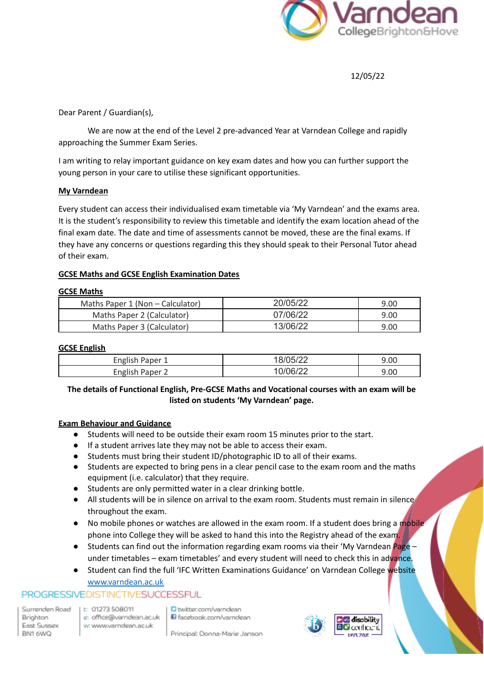

12/05/22

Dear Parent / Guardian(s),

We are now at the end of the Level 2 pre-advanced Year at Varndean College and rapidly approaching the Summer Exam Series.

I am writing to relay important guidance on key exam dates and how you can further support the young person in your care to utilise these significant opportunities.

## **My Varndean**

Every student can access their individualised exam timetable via 'My Varndean' and the exams area. It is the student's responsibility to review this timetable and identify the exam location ahead of the final exam date. The date and time of assessments cannot be moved, these are the final exams. If they have any concerns or questions regarding this they should speak to their Personal Tutor ahead of their exam.

## **GCSE Maths and GCSE English Examination Dates**

#### **GCSE Maths**

| Maths Paper 1 (Non – Calculator) | 20/05/22 | 9.00 |
|----------------------------------|----------|------|
| Maths Paper 2 (Calculator)       | 07/06/22 | 9.00 |
| Maths Paper 3 (Calculator)       | 13/06/22 | 9.00 |

#### **GCSE English**

| English Paper   | 8/05/22            | 9.00 |
|-----------------|--------------------|------|
| English Paper 2 | $(1)/06/2^{\circ}$ | 9.00 |

# **The details of Functional English, Pre-GCSE Maths and Vocational courses with an exam will be listed on students 'My Varndean' page.**

#### **Exam Behaviour and Guidance**

- Students will need to be outside their exam room 15 minutes prior to the start.
- If a student arrives late they may not be able to access their exam.
- Students must bring their student ID/photographic ID to all of their exams.
- Students are expected to bring pens in a clear pencil case to the exam room and the maths equipment (i.e. calculator) that they require.
- Students are only permitted water in a clear drinking bottle.
- All students will be in silence on arrival to the exam room. Students must remain in silence throughout the exam.
- No mobile phones or watches are allowed in the exam room. If a student does bring a mobile phone into College they will be asked to hand this into the Registry ahead of the exam.
- **•** Students can find out the information regarding exam rooms via their 'My Varndean  $Page$ under timetables – exam timetables' and every student will need to check this in advance.
- Student can find the full 'IFC Written Examinations Guidance' on Varndean College website

# [www.varndean.ac.uk](http://www.varndean.ac.uk)

# PROGRESSIVEDISTINCTIVESUCCESSFUL

Surrenden Road Brighton East Sussex BN1 6WQ

t: 01273 508011 e: office@varndean.ac.uk w: www.varndean.ac.uk

D twitter.com/varndean Facebook.com/varndean

Principal: Donna-Marie Janson